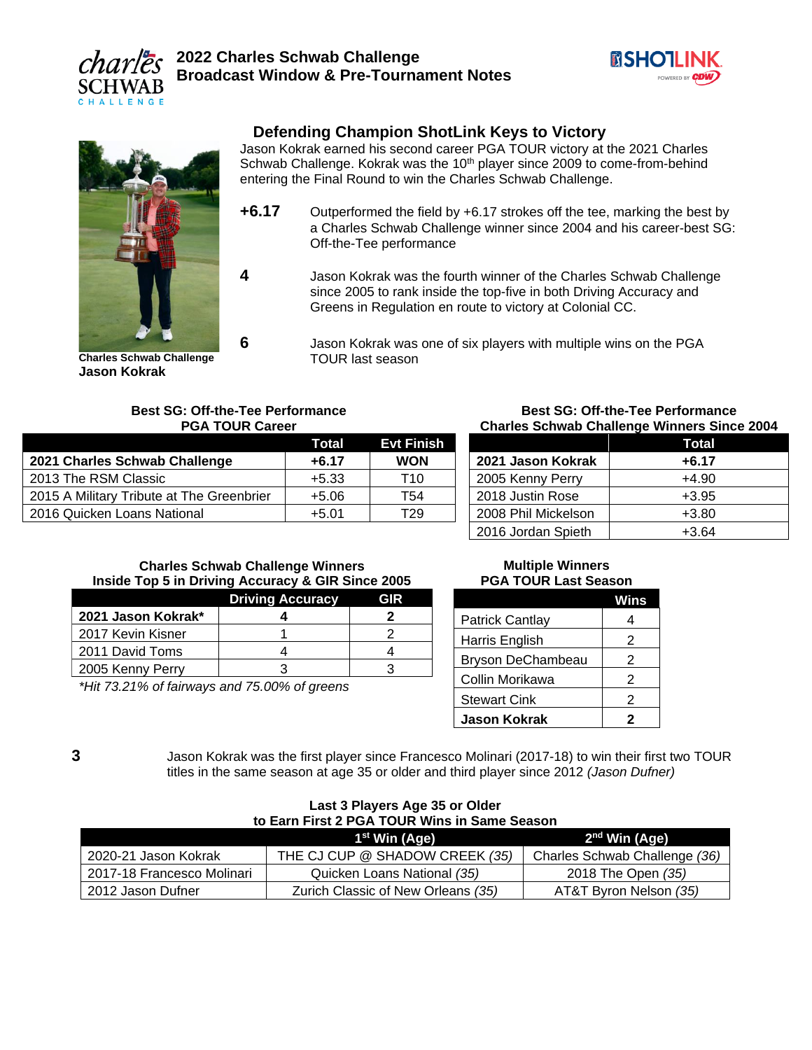



# **Defending Champion ShotLink Keys to Victory**

Jason Kokrak earned his second career PGA TOUR victory at the 2021 Charles Schwab Challenge. Kokrak was the  $10<sup>th</sup>$  player since 2009 to come-from-behind entering the Final Round to win the Charles Schwab Challenge.

- **+6.17** Outperformed the field by +6.17 strokes off the tee, marking the best by a Charles Schwab Challenge winner since 2004 and his career-best SG: Off-the-Tee performance
- **4** Jason Kokrak was the fourth winner of the Charles Schwab Challenge since 2005 to rank inside the top-five in both Driving Accuracy and Greens in Regulation en route to victory at Colonial CC.

**Charles Schwab Challenge Jason Kokrak**

**6** Jason Kokrak was one of six players with multiple wins on the PGA TOUR last season

#### **Best SG: Off-the-Tee Performance PGA TOUR Career**

|                                           | Total   | <b>Evt Finish</b> |
|-------------------------------------------|---------|-------------------|
| 2021 Charles Schwab Challenge             | $+6.17$ | <b>WON</b>        |
| 2013 The RSM Classic                      | $+5.33$ | T10               |
| 2015 A Military Tribute at The Greenbrier | $+5.06$ | T54               |
| 2016 Quicken Loans National               | $+5.01$ | T29               |

#### **Best SG: Off-the-Tee Performance Charles Schwab Challenge Winners Since 2004**

|                     | Total   |
|---------------------|---------|
| 2021 Jason Kokrak   | +6.17   |
| 2005 Kenny Perry    | $+4.90$ |
| 2018 Justin Rose    | $+3.95$ |
| 2008 Phil Mickelson | $+3.80$ |
| 2016 Jordan Spieth  | $+3.64$ |

#### **Charles Schwab Challenge Winners Inside Top 5 in Driving Accuracy & GIR Since 2005**

|                    | <b>Driving Accuracy</b> | GIR |
|--------------------|-------------------------|-----|
| 2021 Jason Kokrak* |                         |     |
| 2017 Kevin Kisner  |                         |     |
| 2011 David Toms    |                         |     |
| 2005 Kenny Perry   |                         |     |
|                    |                         |     |

*\*Hit 73.21% of fairways and 75.00% of greens*

#### **Multiple Winners PGA TOUR Last Season**

|                     | Wins |
|---------------------|------|
| Patrick Cantlay     | 4    |
| Harris English      | 2    |
| Bryson DeChambeau   | 2    |
| Collin Morikawa     | 2    |
| <b>Stewart Cink</b> | 2    |
| <b>Jason Kokrak</b> | 2    |

**3** Jason Kokrak was the first player since Francesco Molinari (2017-18) to win their first two TOUR titles in the same season at age 35 or older and third player since 2012 *(Jason Dufner)*

| to Earn First 2 PGA TOUR Wins in Same Season           |                                    |                               |  |
|--------------------------------------------------------|------------------------------------|-------------------------------|--|
| 2 <sup>nd</sup> Win (Age)<br>1 <sup>st</sup> Win (Age) |                                    |                               |  |
| 2020-21 Jason Kokrak                                   | THE CJ CUP @ SHADOW CREEK (35)     | Charles Schwab Challenge (36) |  |
| 2017-18 Francesco Molinari                             | Quicken Loans National (35)        | 2018 The Open (35)            |  |
| 2012 Jason Dufner                                      | Zurich Classic of New Orleans (35) | AT&T Byron Nelson (35)        |  |

#### **Last 3 Players Age 35 or Older to Earn First 2 PGA TOUR Wins in Same Season**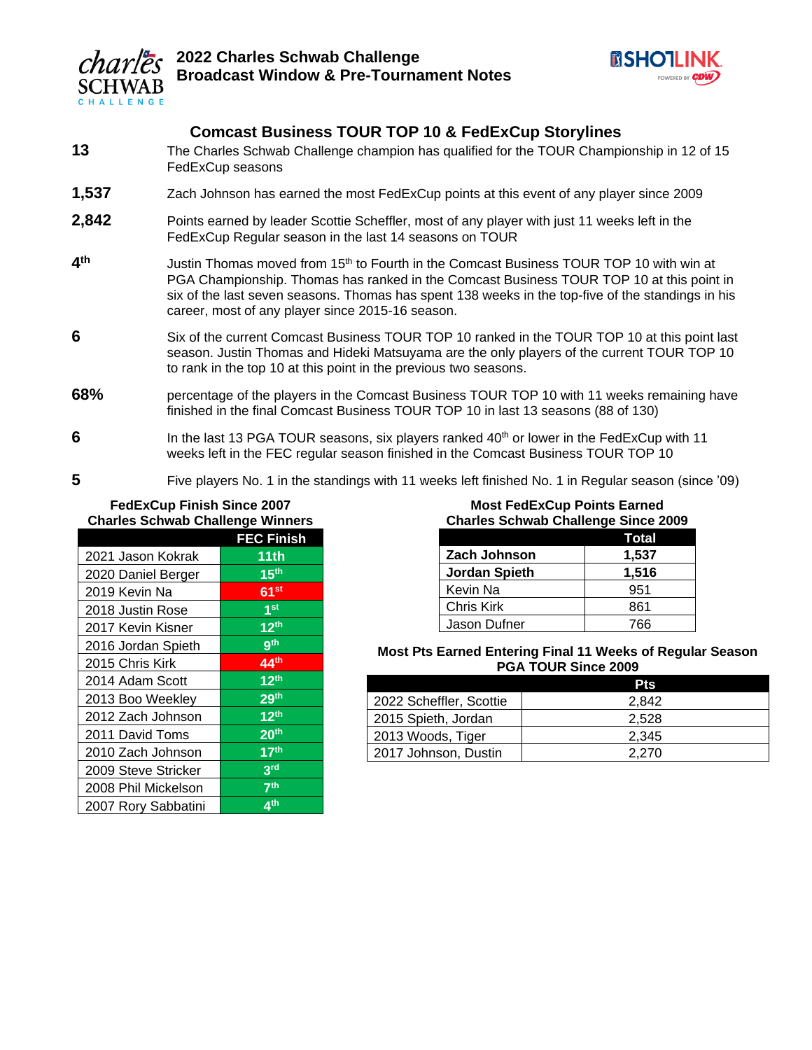



# **Comcast Business TOUR TOP 10 & FedExCup Storylines**

- **13** The Charles Schwab Challenge champion has qualified for the TOUR Championship in 12 of 15 FedExCup seasons
- **1,537** Zach Johnson has earned the most FedExCup points at this event of any player since 2009
- **2,842** Points earned by leader Scottie Scheffler, most of any player with just 11 weeks left in the FedExCup Regular season in the last 14 seasons on TOUR
- **4 th** Justin Thomas moved from 15th to Fourth in the Comcast Business TOUR TOP 10 with win at PGA Championship. Thomas has ranked in the Comcast Business TOUR TOP 10 at this point in six of the last seven seasons. Thomas has spent 138 weeks in the top-five of the standings in his career, most of any player since 2015-16 season.
- **6** Six of the current Comcast Business TOUR TOP 10 ranked in the TOUR TOP 10 at this point last season. Justin Thomas and Hideki Matsuyama are the only players of the current TOUR TOP 10 to rank in the top 10 at this point in the previous two seasons.
- **68%** percentage of the players in the Comcast Business TOUR TOP 10 with 11 weeks remaining have finished in the final Comcast Business TOUR TOP 10 in last 13 seasons (88 of 130)
- **6** In the last 13 PGA TOUR seasons, six players ranked 40<sup>th</sup> or lower in the FedExCup with 11 weeks left in the FEC regular season finished in the Comcast Business TOUR TOP 10
- **5** Five players No. 1 in the standings with 11 weeks left finished No. 1 in Regular season (since '09)

#### **FedExCup Finish Since 2007 Charles Schwab Challenge Winners**

|                     | <b>FEC Finish</b>    |
|---------------------|----------------------|
| 2021 Jason Kokrak   | 11th                 |
| 2020 Daniel Berger  | 15 <sup>th</sup>     |
| 2019 Kevin Na       | 61 <sup>st</sup>     |
| 2018 Justin Rose    | 1 <sub>st</sub>      |
| 2017 Kevin Kisner   | 12 <sup>th</sup>     |
| 2016 Jordan Spieth  | gth                  |
| 2015 Chris Kirk     | 44 <sup>th</sup>     |
| 2014 Adam Scott     | $\overline{12^{th}}$ |
| 2013 Boo Weekley    | 29 <sup>th</sup>     |
| 2012 Zach Johnson   | 12 <sup>th</sup>     |
| 2011 David Toms     | 20 <sup>th</sup>     |
| 2010 Zach Johnson   | 17 <sup>th</sup>     |
| 2009 Steve Stricker | 3 <sup>rd</sup>      |
| 2008 Phil Mickelson | 7 <sup>th</sup>      |
| 2007 Rory Sabbatini | $\overline{A}$ th    |

| <b>Most FedExCup Points Earned</b>         |     |  |
|--------------------------------------------|-----|--|
| <b>Charles Schwab Challenge Since 2009</b> |     |  |
| Total                                      |     |  |
| <b>Zach Johnson</b><br>1,537               |     |  |
| <b>Jordan Spieth</b><br>1,516              |     |  |
| Kevin Na                                   | 951 |  |
| Chris Kirk                                 | 861 |  |

#### **Most Pts Earned Entering Final 11 Weeks of Regular Season PGA TOUR Since 2009**

Jason Dufner  $\overline{766}$ 

|                         | <b>Pts</b> |
|-------------------------|------------|
| 2022 Scheffler, Scottie | 2.842      |
| 2015 Spieth, Jordan     | 2.528      |
| 2013 Woods, Tiger       | 2.345      |
| 2017 Johnson, Dustin    | 2.270      |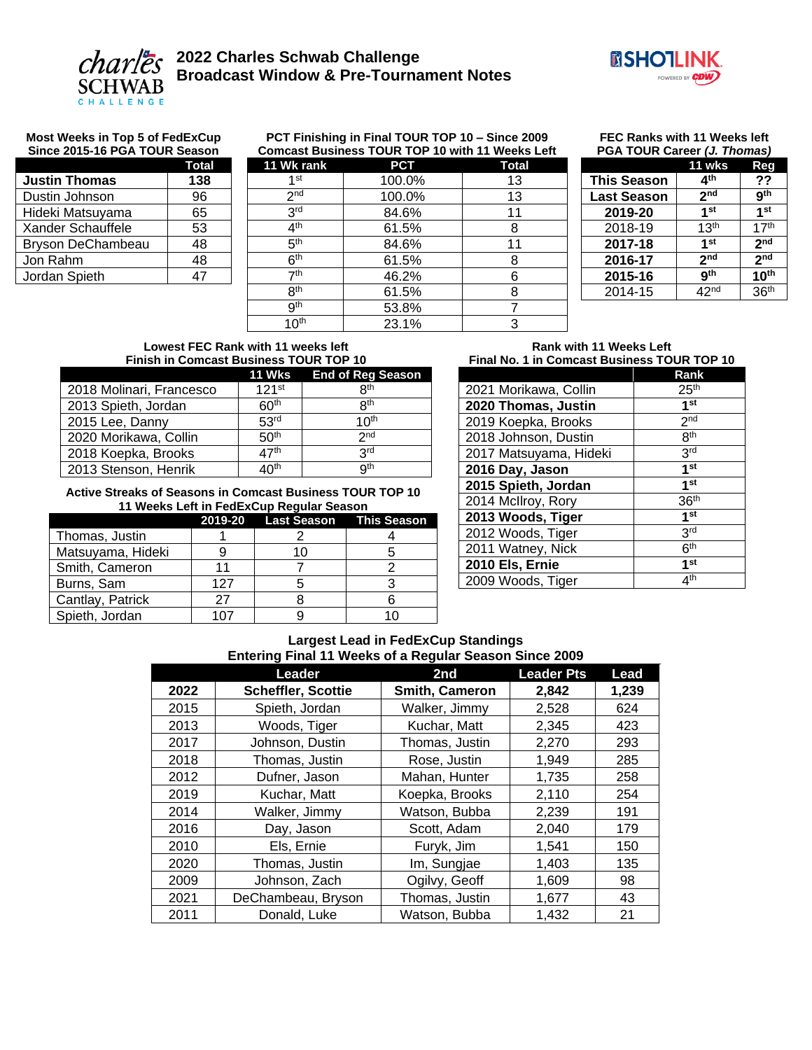



#### **Most Weeks in Top 5 of FedExCup Since 2015-16 PGA TOUR Season**

#### **PCT Finishing in Final TOUR TOP 10 – Since 2009 Comcast Business TOUR TOP 10 with 11 Weeks Left**

**FEC Ranks with 11 Weeks left PGA TOUR Career** *(J. Thomas)*

| Total |
|-------|
| 138   |
| 96    |
| 65    |
| 53    |
| 48    |
| 48    |
| 47    |
|       |

| 11 Wk rank       | <b>PCT</b> | <b>Total</b> |  |
|------------------|------------|--------------|--|
| 1 <sub>st</sub>  | 100.0%     | 13           |  |
| 2 <sub>nd</sub>  | 100.0%     | 13           |  |
| 3 <sup>rd</sup>  | 84.6%      | 11           |  |
| 4 <sup>th</sup>  | 61.5%      | 8            |  |
| 5 <sup>th</sup>  | 84.6%      | 11           |  |
| 6 <sup>th</sup>  | 61.5%      | 8            |  |
| 7 <sup>th</sup>  | 46.2%      | 6            |  |
| 8 <sup>th</sup>  | 61.5%      | 8            |  |
| 9 <sup>th</sup>  | 53.8%      |              |  |
| $10^{\text{th}}$ | 23.1%      | 3            |  |

| <b>FUA TUUR Career (J. <i>Hi</i>UMAS</b> ) |                  |                  |
|--------------------------------------------|------------------|------------------|
|                                            | 11 wks           | Reg              |
| <b>This Season</b>                         | 4 <sup>th</sup>  | ??               |
| <b>Last Season</b>                         | 2 <sub>nd</sub>  | 9 <sup>th</sup>  |
| 2019-20                                    | 1 <sub>st</sub>  | 1 <sup>st</sup>  |
| 2018-19                                    | 13 <sup>th</sup> | 17 <sup>th</sup> |
| 2017-18                                    | 1 <sub>st</sub>  | 2 <sub>nd</sub>  |
| 2016-17                                    | 2 <sub>nd</sub>  | 2 <sub>nd</sub>  |
| 2015-16                                    | gth              | 10 <sup>th</sup> |
| 2014-15                                    | 42 <sup>nd</sup> | 36 <sup>th</sup> |

#### **Lowest FEC Rank with 11 weeks left Finish in Comcast Business TOUR TOP 10**

|                          | 11 Wks            | <b>End of Reg Season</b> |
|--------------------------|-------------------|--------------------------|
| 2018 Molinari, Francesco | 121 <sup>st</sup> | R <sup>th</sup>          |
| 2013 Spieth, Jordan      | 60 <sup>th</sup>  | <b>Qth</b>               |
| 2015 Lee, Danny          | 53 <sup>rd</sup>  | 1 $\Omega$ <sup>th</sup> |
| 2020 Morikawa, Collin    | 50 <sup>th</sup>  | 2 <sub>nd</sub>          |
| 2018 Koepka, Brooks      | 47 <sup>th</sup>  | <b>Qrd</b>               |
| 2013 Stenson, Henrik     | ⊿∩ <sup>th</sup>  | qth                      |

#### **Active Streaks of Seasons in Comcast Business TOUR TOP 10 11 Weeks Left in FedExCup Regular Season**

|                   |     | 2019-20 Last Season This Season |  |
|-------------------|-----|---------------------------------|--|
| Thomas, Justin    |     |                                 |  |
| Matsuyama, Hideki |     | 10                              |  |
| Smith, Cameron    |     |                                 |  |
| Burns, Sam        | 127 |                                 |  |
| Cantlay, Patrick  | 27  |                                 |  |
| Spieth, Jordan    | 1 ר |                                 |  |

#### **Rank with 11 Weeks Left Final No. 1 in Comcast Business TOUR TOP 10**

|                        | Rank             |
|------------------------|------------------|
| 2021 Morikawa, Collin  | 25 <sup>th</sup> |
| 2020 Thomas, Justin    | 1 <sub>st</sub>  |
| 2019 Koepka, Brooks    | 2 <sub>nd</sub>  |
| 2018 Johnson, Dustin   | <b>Rth</b>       |
| 2017 Matsuyama, Hideki | 3rd              |
| 2016 Day, Jason        | 1 <sub>st</sub>  |
| 2015 Spieth, Jordan    | 1 <sub>st</sub>  |
| 2014 McIlroy, Rory     | 36 <sup>th</sup> |
| 2013 Woods, Tiger      | 1 <sub>st</sub>  |
| 2012 Woods, Tiger      | 3rd              |
| 2011 Watney, Nick      | 6 <sup>th</sup>  |
| 2010 Els, Ernie        | 1 <sub>st</sub>  |
| 2009 Woods, Tiger      | 4 <sup>th</sup>  |

#### **Largest Lead in FedExCup Standings Entering Final 11 Weeks of a Regular Season Since 2009**

|      | Leader             | 2nd            | <b>Leader Pts</b> | Lead  |
|------|--------------------|----------------|-------------------|-------|
| 2022 | Scheffler, Scottie | Smith, Cameron | 2,842             | 1,239 |
| 2015 | Spieth, Jordan     | Walker, Jimmy  | 2,528             | 624   |
| 2013 | Woods, Tiger       | Kuchar, Matt   | 2,345             | 423   |
| 2017 | Johnson, Dustin    | Thomas, Justin | 2,270             | 293   |
| 2018 | Thomas, Justin     | Rose, Justin   | 1,949             | 285   |
| 2012 | Dufner, Jason      | Mahan, Hunter  | 1,735             | 258   |
| 2019 | Kuchar, Matt       | Koepka, Brooks | 2,110             | 254   |
| 2014 | Walker, Jimmy      | Watson, Bubba  | 2,239             | 191   |
| 2016 | Day, Jason         | Scott, Adam    | 2,040             | 179   |
| 2010 | Els, Ernie         | Furyk, Jim     | 1,541             | 150   |
| 2020 | Thomas, Justin     | Im, Sungjae    | 1,403             | 135   |
| 2009 | Johnson, Zach      | Ogilvy, Geoff  | 1,609             | 98    |
| 2021 | DeChambeau, Bryson | Thomas, Justin | 1,677             | 43    |
| 2011 | Donald, Luke       | Watson, Bubba  | 1,432             | 21    |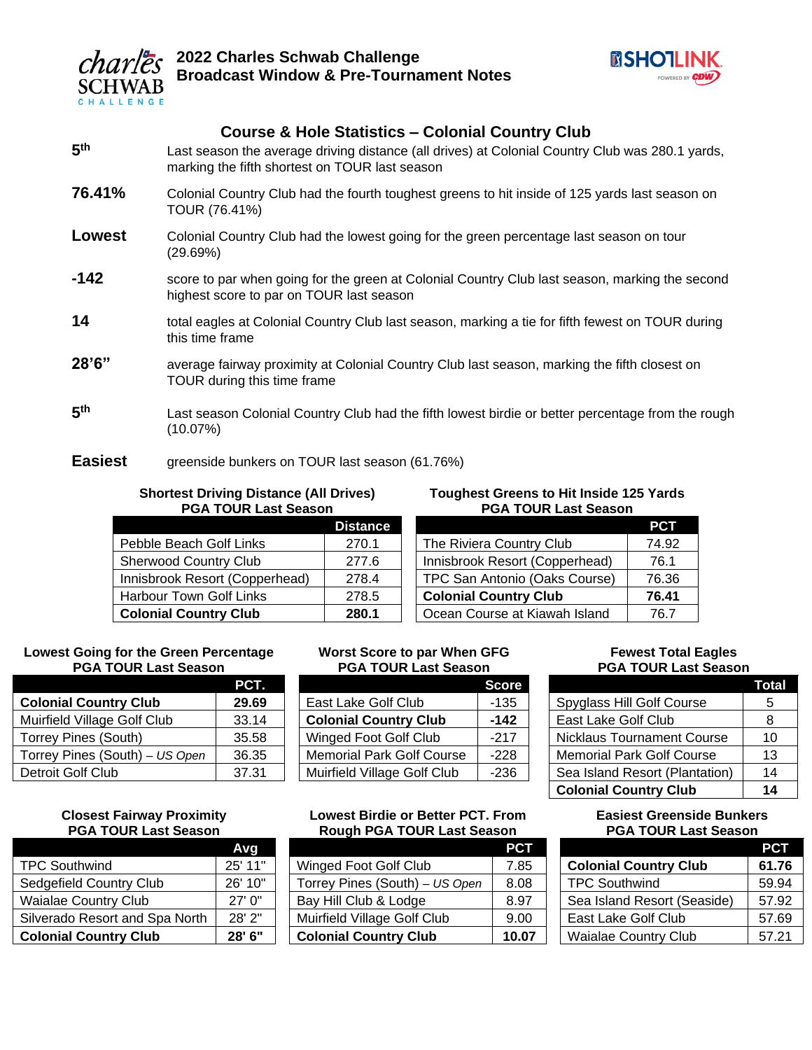



# **Course & Hole Statistics – Colonial Country Club**

- **5** Last season the average driving distance (all drives) at Colonial Country Club was 280.1 yards, marking the fifth shortest on TOUR last season
- **76.41%** Colonial Country Club had the fourth toughest greens to hit inside of 125 yards last season on TOUR (76.41%)
- **Lowest** Colonial Country Club had the lowest going for the green percentage last season on tour (29.69%)
- **-142** score to par when going for the green at Colonial Country Club last season, marking the second highest score to par on TOUR last season
- 14 total eagles at Colonial Country Club last season, marking a tie for fifth fewest on TOUR during this time frame
- 28'6" average fairway proximity at Colonial Country Club last season, marking the fifth closest on TOUR during this time frame
- **5** Last season Colonial Country Club had the fifth lowest birdie or better percentage from the rough (10.07%)

# **Easiest** greenside bunkers on TOUR last season (61.76%)

#### **Shortest Driving Distance (All Drives) PGA TOUR Last Season**

|                                | <b>Distance</b> |
|--------------------------------|-----------------|
| Pebble Beach Golf Links        | 270.1           |
| <b>Sherwood Country Club</b>   | 277.6           |
| Innisbrook Resort (Copperhead) | 278.4           |
| Harbour Town Golf Links        | 278.5           |
| <b>Colonial Country Club</b>   | 280.1           |

#### **Toughest Greens to Hit Inside 125 Yards PGA TOUR Last Season**

|                                | PCT   |
|--------------------------------|-------|
| The Riviera Country Club       | 74.92 |
| Innisbrook Resort (Copperhead) | 76.1  |
| TPC San Antonio (Oaks Course)  | 76.36 |
| <b>Colonial Country Club</b>   | 76.41 |
| Ocean Course at Kiawah Island  | 767   |

#### **Lowest Going for the Green Percentage PGA TOUR Last Season**

|                                | PCT.  |
|--------------------------------|-------|
| <b>Colonial Country Club</b>   | 29.69 |
| Muirfield Village Golf Club    | 33.14 |
| Torrey Pines (South)           | 35.58 |
| Torrey Pines (South) - US Open | 36.35 |
| <b>Detroit Golf Club</b>       | 37.31 |

# **Score** East Lake Golf Club | -135

**Worst Score to par When GFG PGA TOUR Last Season**

| <b>Colonial Country Club</b>     | -142 |
|----------------------------------|------|
| <b>Winged Foot Golf Club</b>     | -217 |
| <b>Memorial Park Golf Course</b> | -228 |
| Muirfield Village Golf Club      | -236 |

#### **Closest Fairway Proximity PGA TOUR Last Season**

|                                | Avg        |
|--------------------------------|------------|
| <b>TPC Southwind</b>           | 25' 11"    |
| Sedgefield Country Club        | 26' 10"    |
| <b>Waialae Country Club</b>    | 27'0''     |
| Silverado Resort and Spa North | $28'$ $2"$ |
| <b>Colonial Country Club</b>   | $28'$ 6"   |
|                                |            |

### **Lowest Birdie or Better PCT. From Rough PGA TOUR Last Season**

|                                | PCT   |
|--------------------------------|-------|
| Winged Foot Golf Club          | 7.85  |
| Torrey Pines (South) - US Open | 8.08  |
| Bay Hill Club & Lodge          | 8.97  |
| Muirfield Village Golf Club    | 9.00  |
| <b>Colonial Country Club</b>   | 10.07 |

#### **Fewest Total Eagles PGA TOUR Last Season**

|                                  | Total |
|----------------------------------|-------|
| Spyglass Hill Golf Course        | 5     |
| East Lake Golf Club              | 8     |
| Nicklaus Tournament Course       | 10    |
| <b>Memorial Park Golf Course</b> | 13    |
| Sea Island Resort (Plantation)   | 14    |
| <b>Colonial Country Club</b>     | 14    |

#### **Easiest Greenside Bunkers PGA TOUR Last Season**

| PCT   |
|-------|
| 61.76 |
| 59.94 |
| 57.92 |
| 57.69 |
| 57.21 |
|       |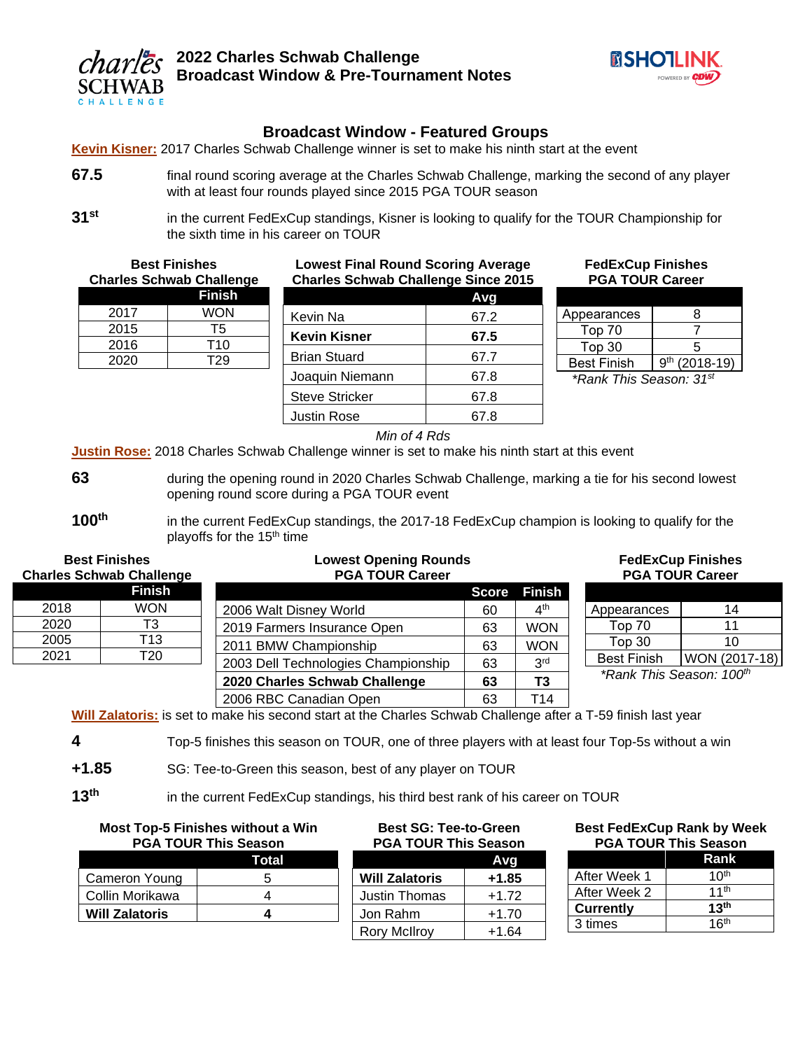



# **Broadcast Window - Featured Groups**

**Kevin Kisner:** 2017 Charles Schwab Challenge winner is set to make his ninth start at the event

- **67.5** final round scoring average at the Charles Schwab Challenge, marking the second of any player with at least four rounds played since 2015 PGA TOUR season
- **31st** in the current FedExCup standings, Kisner is looking to qualify for the TOUR Championship for the sixth time in his career on TOUR

**Best Finishes Charles Schwab Challenge Finish** 2017 WON 2015 T5 2016 T10 2020 T29 **Lowest Final Round Scoring Average Charles Schwab Challenge Since 2015 Avg** Kevin Na  $\vert$  67.2 **Kevin Kisner 67.5** Brian Stuard | 67.7 Joaquin Niemann | 67.8 Steve Stricker | 67.8 Justin Rose 167.8 Best Finish | 9

**FedExCup Finishes PGA TOUR Career**

| Appearances        | Χ                              |
|--------------------|--------------------------------|
| Top 70             |                                |
| Top 30             | 5                              |
| <b>Best Finish</b> | q <sup>th</sup><br>$(2018-19)$ |

*\*Rank This Season: 31st*

*Min of 4 Rds*

**Justin Rose:** 2018 Charles Schwab Challenge winner is set to make his ninth start at this event

- **63** during the opening round in 2020 Charles Schwab Challenge, marking a tie for his second lowest opening round score during a PGA TOUR event
- **100th** in the current FedExCup standings, the 2017-18 FedExCup champion is looking to qualify for the playoffs for the 15<sup>th</sup> time

| <b>Best Finishes</b><br><b>Charles Schwab Challenge</b> |            | <b>Lowest Opening Rounds</b><br><b>PGA TOUR Career</b> |    | <b>FedExCup Finishes</b><br><b>PGA TOUR Career</b> |                                      |               |
|---------------------------------------------------------|------------|--------------------------------------------------------|----|----------------------------------------------------|--------------------------------------|---------------|
|                                                         | Finish     |                                                        |    | <b>Score Finish</b>                                |                                      |               |
| 2018                                                    | <b>WON</b> | 2006 Walt Disney World                                 | 60 | $4^{\text{th}}$                                    | Appearances                          | 14            |
| 2020                                                    | T3         | 2019 Farmers Insurance Open                            | 63 | <b>WON</b>                                         | Top 70                               | 11            |
| 2005                                                    | T13        | 2011 BMW Championship                                  | 63 | <b>WON</b>                                         | Top 30                               | 10            |
| 2021                                                    | T20        | 2003 Dell Technologies Championship                    | 63 | 3 <sup>rd</sup>                                    | <b>Best Finish</b>                   | WON (2017-18) |
|                                                         |            | 2020 Charles Schwab Challenge                          | 63 | T3                                                 | *Rank This Season: 100 <sup>th</sup> |               |
|                                                         |            | 2006 RBC Canadian Open                                 | 63 | T14                                                |                                      |               |

**Will Zalatoris:** is set to make his second start at the Charles Schwab Challenge after a T-59 finish last year

- **4** Top-5 finishes this season on TOUR, one of three players with at least four Top-5s without a win
- **+1.85** SG: Tee-to-Green this season, best of any player on TOUR

**13th** in the current FedExCup standings, his third best rank of his career on TOUR

|                 | <b>Most Top-5 Finishes without a Win</b><br><b>PGA TOUR This Season</b> | <b>Best SG: Tee-to-Green</b><br><b>PGA TOUR This Season</b> |         | <b>Best FedExCup Rank by Week</b><br><b>PGA TOUR This Season</b> |                  |
|-----------------|-------------------------------------------------------------------------|-------------------------------------------------------------|---------|------------------------------------------------------------------|------------------|
|                 | Total                                                                   |                                                             | Avg     |                                                                  | Rank             |
| Cameron Young   |                                                                         | <b>Will Zalatoris</b>                                       | $+1.85$ | After Week 1                                                     | 10 <sup>th</sup> |
| Collin Morikawa |                                                                         | Justin Thomas                                               | $+1.72$ | After Week 2                                                     | 11 <sup>th</sup> |
| Will Zalatoris  |                                                                         | Jon Rahm                                                    | $+1.70$ | <b>Currently</b>                                                 | 13 <sup>th</sup> |
|                 |                                                                         | Rory McIlroy                                                | $+1.64$ | 3 times                                                          | 16 <sup>th</sup> |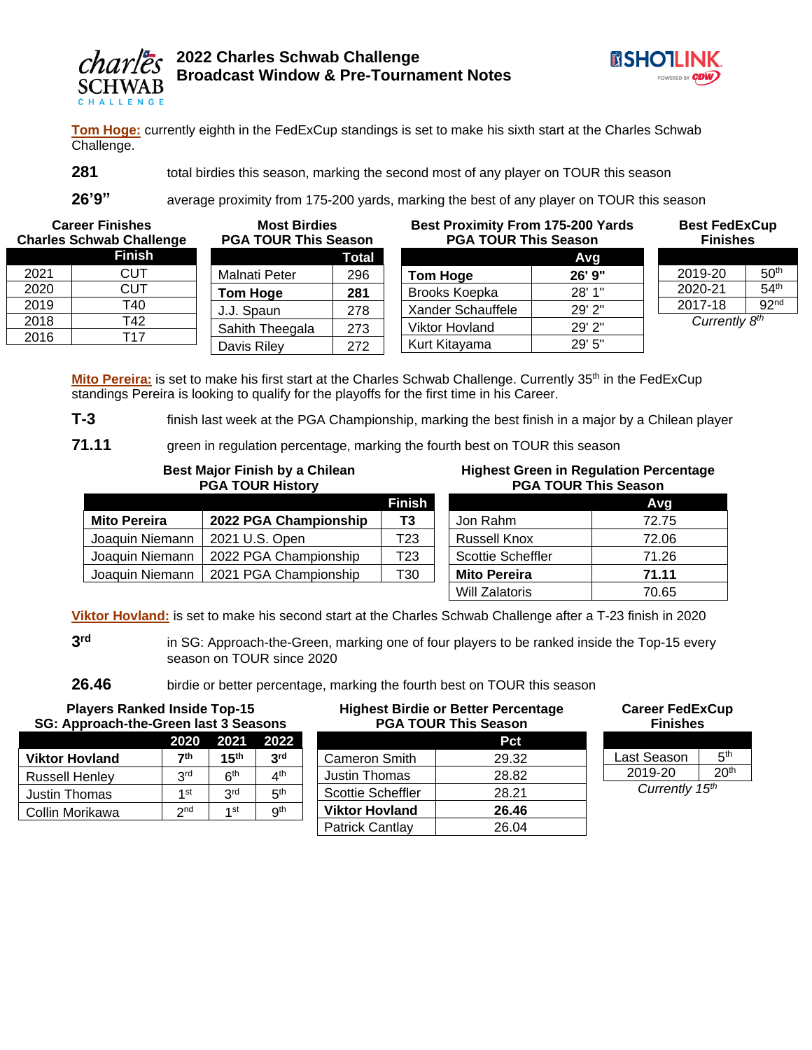



**Tom Hoge:** currently eighth in the FedExCup standings is set to make his sixth start at the Charles Schwab Challenge.

**281 total birdies this season, marking the second most of any player on TOUR this season** 

**26'9"** average proximity from 175-200 yards, marking the best of any player on TOUR this season

**Career Finishes Charles Schwab Challenge**

|    | <b>Finish</b>   |      |
|----|-----------------|------|
| Ma | <b>CUT</b>      | 2021 |
| Гc | CUT             | 2020 |
|    | T40             | 2019 |
|    | T42             | 2018 |
| Sa | T <sub>17</sub> | 2016 |
|    |                 |      |

| <b>PGA TOUR This Season</b> |       |  |  |  |
|-----------------------------|-------|--|--|--|
|                             | Total |  |  |  |
| Malnati Peter               | 296   |  |  |  |
| <b>Tom Hoge</b>             | 281   |  |  |  |
| J.J. Spaun                  | 278   |  |  |  |
| Sahith Theegala             | 273   |  |  |  |
| Davis Riley                 | 272   |  |  |  |
|                             |       |  |  |  |

**Most Birdies** 

## **Best Proximity From 175-200 Yards PGA TOUR This Season Avg Tom Hoge 26' 9"** Brooks Koepka | 28' 1" Xander Schauffele | 29' 2" Viktor Hovland 29' 2"

Kurt Kitayama 29' 5"

**Finishes** 2019-20  $50<sup>th</sup>$ 2020-21  $54<sup>th</sup>$ 2017-18  $92<sup>nd</sup>$ *Currently 8 th*

**Best FedExCup**

Mito Pereira: is set to make his first start at the Charles Schwab Challenge. Currently 35<sup>th</sup> in the FedExCup standings Pereira is looking to qualify for the playoffs for the first time in his Career.

**T-3** finish last week at the PGA Championship, marking the best finish in a major by a Chilean player

**71.11** green in regulation percentage, marking the fourth best on TOUR this season

## **Best Major Finish by a Chilean PGA TOUR History**

|                     |                       | Finish          |
|---------------------|-----------------------|-----------------|
| <b>Mito Pereira</b> | 2022 PGA Championship | T3              |
| Joaquin Niemann     | 2021 U.S. Open        | T <sub>23</sub> |
| Joaquin Niemann     | 2022 PGA Championship | T <sub>23</sub> |
| Joaquin Niemann     | 2021 PGA Championship | T30             |
|                     |                       |                 |

#### **Highest Green in Regulation Percentage PGA TOUR This Season**

|                     | Avg   |
|---------------------|-------|
| Jon Rahm            | 72.75 |
| <b>Russell Knox</b> | 72.06 |
| Scottie Scheffler   | 71.26 |
| <b>Mito Pereira</b> | 71.11 |
| Will Zalatoris      | 70.65 |

**Viktor Hovland:** is set to make his second start at the Charles Schwab Challenge after a T-23 finish in 2020

**3** in SG: Approach-the-Green, marking one of four players to be ranked inside the Top-15 every season on TOUR since 2020

**26.46** birdie or better percentage, marking the fourth best on TOUR this season

| <b>Players Ranked Inside Top-15</b><br>SG: Approach-the-Green last 3 Seasons |                 |                 | <b>Highest Birdie or Better Percentage</b><br><b>PGA TOUR This Season</b> |                          | <b>Career FedExCup</b><br><b>Finishes</b> |                |  |
|------------------------------------------------------------------------------|-----------------|-----------------|---------------------------------------------------------------------------|--------------------------|-------------------------------------------|----------------|--|
|                                                                              | 2020            | 2021            | 2022                                                                      |                          | Pct                                       |                |  |
| <b>Viktor Hovland</b>                                                        | 7th             | 15 $^{\rm th}$  | 3 <sup>rd</sup>                                                           | <b>Cameron Smith</b>     | 29.32                                     | Last Season    |  |
| <b>Russell Henley</b>                                                        | 3 <sup>rd</sup> | 6 <sup>th</sup> | 4 <sup>th</sup>                                                           | Justin Thomas            | 28.82                                     | 2019-20        |  |
| Justin Thomas                                                                | 1 <sub>st</sub> | 3 <sup>rd</sup> | 5 <sup>th</sup>                                                           | <b>Scottie Scheffler</b> | 28.21                                     | Currently 15th |  |
| Collin Morikawa                                                              | 2 <sub>nd</sub> | 1 st            | 9 <sup>th</sup>                                                           | <b>Viktor Hovland</b>    | 26.46                                     |                |  |
|                                                                              |                 |                 |                                                                           | Patrick Cantlay          | 26.04                                     |                |  |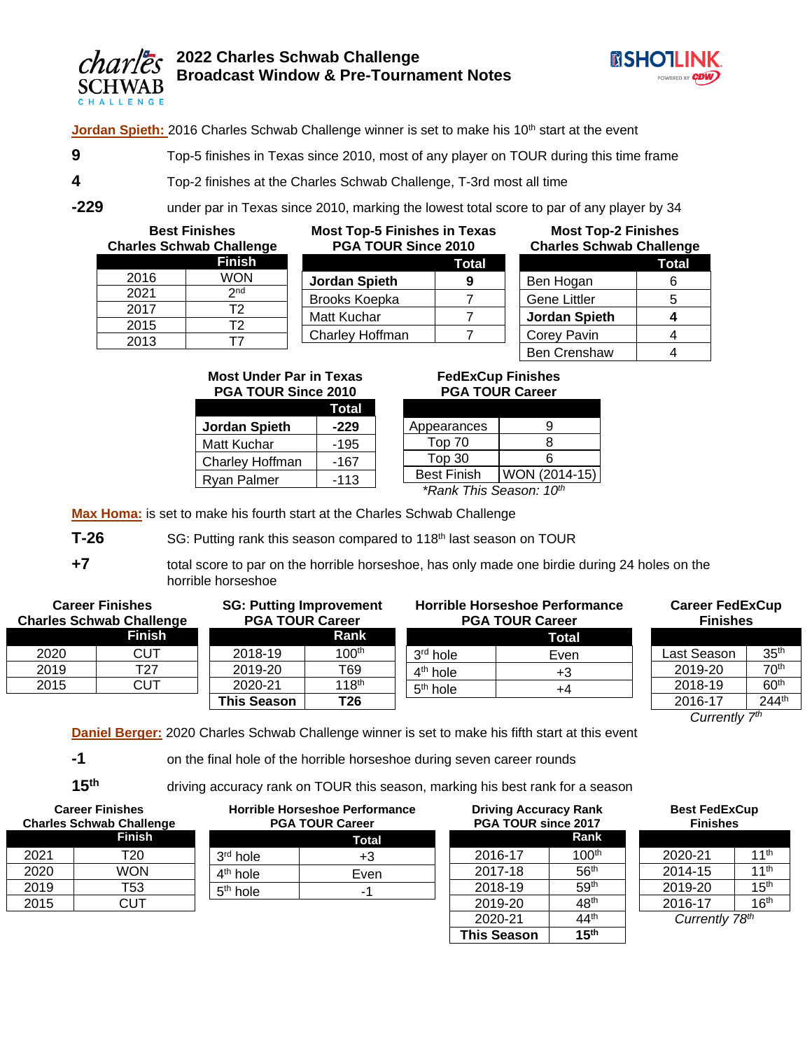



Jordan Spieth: 2016 Charles Schwab Challenge winner is set to make his 10<sup>th</sup> start at the event

- **9** Top-5 finishes in Texas since 2010, most of any player on TOUR during this time frame
- **4** Top-2 finishes at the Charles Schwab Challenge, T-3rd most all time
- 

**-229** under par in Texas since 2010, marking the lowest total score to par of any player by 34

**Best Finishes Charles Schwab Challenge**

|      | יווטווט שטוויזטט טטו |
|------|----------------------|
|      | <b>Finish</b>        |
| 2016 | WON                  |
| 2021 | 2 <sub>nd</sub>      |
| 2017 | T <sub>2</sub>       |
| 2015 | T <sub>2</sub>       |
| 2013 | Г7                   |

#### **Most Top-5 Finishes in Texas PGA TOUR Since 2010**

|                      | Total |
|----------------------|-------|
| <b>Jordan Spieth</b> | q     |
| Brooks Koepka        |       |
| Matt Kuchar          |       |
| Charley Hoffman      |       |
|                      |       |

| <b>Most Top-2 Finishes</b><br><b>Charles Schwab Challenge</b> |              |  |
|---------------------------------------------------------------|--------------|--|
|                                                               | <b>Total</b> |  |
| Ben Hogan                                                     | 6            |  |
| <b>Gene Littler</b>                                           | 5            |  |
| <b>Jordan Spieth</b>                                          | 4            |  |
| Corey Pavin                                                   | 4            |  |
| <b>Ben Crenshaw</b>                                           |              |  |

#### **Most Under Par in Texas PGA TOUR Since 2010**

|                      | Total  |
|----------------------|--------|
| <b>Jordan Spieth</b> | -229   |
| Matt Kuchar          | $-195$ |
| Charley Hoffman      | -167   |
| Ryan Palmer          | $-113$ |

## **FedExCup Finishes PGA TOUR Career**

| Appearances                         | Q             |  |  |  |
|-------------------------------------|---------------|--|--|--|
| Top 70                              | R             |  |  |  |
| Top 30                              | ี่ค           |  |  |  |
| <b>Best Finish</b>                  | WON (2014-15) |  |  |  |
| *Rank This Season: 10 <sup>th</sup> |               |  |  |  |

**Max Homa:** is set to make his fourth start at the Charles Schwab Challenge

**T-26** SG: Putting rank this season compared to 118<sup>th</sup> last season on TOUR

**+7** total score to par on the horrible horseshoe, has only made one birdie during 24 holes on the horrible horseshoe

| <b>Career Finishes</b><br><b>Charles Schwab Challenge</b> |               | <b>SG: Putting Improvement</b><br><b>PGA TOUR Career</b> |                   | <b>Horrible Horseshoe Performance</b><br><b>PGA TOUR Career</b> |       |  |
|-----------------------------------------------------------|---------------|----------------------------------------------------------|-------------------|-----------------------------------------------------------------|-------|--|
|                                                           | <b>Finish</b> |                                                          | Rank              |                                                                 | Total |  |
| 2020                                                      | CUT           | 2018-19                                                  | 100 <sup>th</sup> | 3 <sup>rd</sup> hole                                            | Even  |  |
| 2019                                                      | T27           | 2019-20                                                  | T69               | $4th$ hole                                                      | +3    |  |
| 2015                                                      | CUT           | 2020-21                                                  | 118 <sup>th</sup> | $5th$ hole                                                      | +4    |  |
|                                                           |               | <b>This Season</b>                                       | T <sub>26</sub>   |                                                                 |       |  |

# **Career FedExCup Finishes** ast Season | 35<sup>th</sup>

 $\begin{array}{|c|c|c|c|}\n \hline\n 2019-20 & & 70^{\text{th}} \\
\hline\n 2018-19 & & 60^{\text{th}} \\
\hline\n \end{array}$  $2018 - 19$ 2016-17 244<sup>th</sup> *Currently 7th* 

**Daniel Berger:** 2020 Charles Schwab Challenge winner is set to make his fifth start at this event

**-1** on the final hole of the horrible horseshoe during seven career rounds

**15th** driving accuracy rank on TOUR this season, marking his best rank for a season

| <b>Career Finishes</b><br><b>Charles Schwab Challenge</b> |     |  |  |  |  |
|-----------------------------------------------------------|-----|--|--|--|--|
| <b>Finish</b>                                             |     |  |  |  |  |
| 2021<br>T <sub>20</sub>                                   |     |  |  |  |  |
| WON<br>2020                                               |     |  |  |  |  |
| 2019                                                      | T53 |  |  |  |  |
| 2015                                                      | CUT |  |  |  |  |

| Horrible Horseshoe Performance<br><b>PGA TOUR Career</b> |      |  |  |  |  |
|----------------------------------------------------------|------|--|--|--|--|
| Total                                                    |      |  |  |  |  |
| $3rd$ hole                                               | +3   |  |  |  |  |
| $4th$ hole                                               | Even |  |  |  |  |
| $5th$ hole                                               |      |  |  |  |  |
|                                                          |      |  |  |  |  |

| <b>Driving Accuracy Rank</b><br>PGA TOUR since 2017 |                   |  |  |  |
|-----------------------------------------------------|-------------------|--|--|--|
| Rank                                                |                   |  |  |  |
| 2016-17                                             | 100 <sup>th</sup> |  |  |  |
| 2017-18                                             | 56 <sup>th</sup>  |  |  |  |
| 2018-19                                             | 59 <sup>th</sup>  |  |  |  |
| 2019-20                                             | 48 <sup>th</sup>  |  |  |  |
| 44 <sup>th</sup><br>2020-21                         |                   |  |  |  |
| <b>This Season</b>                                  | 15 <sup>th</sup>  |  |  |  |

| <b>Best FedExCup</b> |
|----------------------|
| <b>Finishes</b>      |
|                      |

| 2020-21        | 11 <sup>th</sup> |  |  |  |
|----------------|------------------|--|--|--|
| 2014-15        | 11 <sup>th</sup> |  |  |  |
| 2019-20        | 15 <sup>th</sup> |  |  |  |
| 2016-17        | 16 <sup>th</sup> |  |  |  |
| Currently 78th |                  |  |  |  |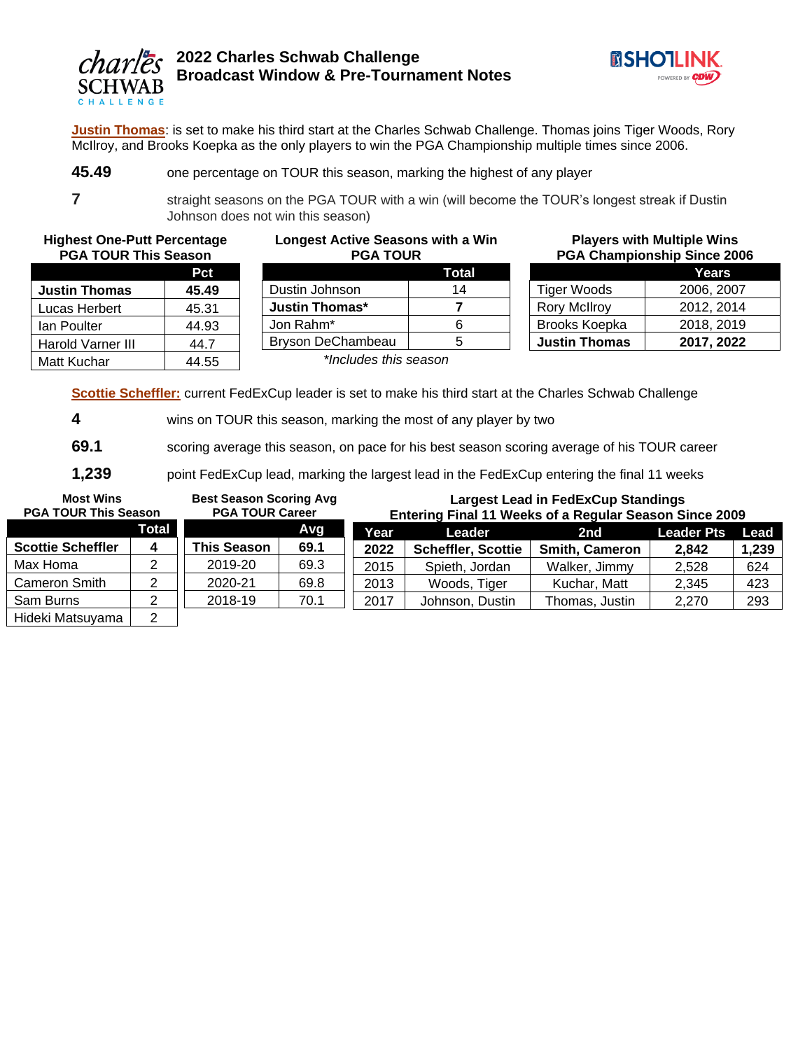

**Players with Multiple Wins PGA Championship Since 2006**

Tiger Woods 2006, 2007 Rory McIlroy 2012, 2014 Brooks Koepka | 2018, 2019 **Justin Thomas 2017, 2022**

**Years**

**Justin Thomas**: is set to make his third start at the Charles Schwab Challenge. Thomas joins Tiger Woods, Rory McIlroy, and Brooks Koepka as the only players to win the PGA Championship multiple times since 2006.

**45.49** one percentage on TOUR this season, marking the highest of any player

**7** straight seasons on the PGA TOUR with a win (will become the TOUR's longest streak if Dustin Johnson does not win this season)

**Highest One-Putt Percentage PGA TOUR This Season**

|                      | Pct   |
|----------------------|-------|
| <b>Justin Thomas</b> | 45.49 |
| Lucas Herbert        | 45.31 |
| lan Poulter          | 44.93 |
| Harold Varner III    | 44.7  |
| Matt Kuchar          | 44.55 |

#### **Longest Active Seasons with a Win PGA TOUR**

|                       | Total |
|-----------------------|-------|
| Dustin Johnson        | 14    |
| Justin Thomas*        |       |
| Jon Rahm*             | հ     |
| Bryson DeChambeau     | 5     |
| *Inoludoo thio ooooon |       |

*\*Includes this season*

**Scottie Scheffler:** current FedExCup leader is set to make his third start at the Charles Schwab Challenge

**4** wins on TOUR this season, marking the most of any player by two

**69.1** scoring average this season, on pace for his best season scoring average of his TOUR career

**1,239** point FedExCup lead, marking the largest lead in the FedExCup entering the final 11 weeks

| <b>Most Wins</b><br><b>PGA TOUR This Season</b> |   | <b>Best Season Scoring Avg</b><br><b>PGA TOUR Career</b> |      | <b>Largest Lead in FedExCup Standings</b><br>Entering Final 11 Weeks of a Regular Season Since 2009 |                           |                       |       |       |
|-------------------------------------------------|---|----------------------------------------------------------|------|-----------------------------------------------------------------------------------------------------|---------------------------|-----------------------|-------|-------|
| Total<br>Avg                                    |   | Year.<br>Leader                                          |      | 2nd                                                                                                 | <b>Leader Pts</b>         | Lead                  |       |       |
| <b>Scottie Scheffler</b>                        | 4 | <b>This Season</b>                                       | 69.1 | 2022                                                                                                | <b>Scheffler, Scottie</b> | <b>Smith, Cameron</b> | 2,842 | 1,239 |
| Max Homa                                        |   | 2019-20                                                  | 69.3 | 2015                                                                                                | Spieth, Jordan            | Walker, Jimmy         | 2,528 | 624   |
| <b>Cameron Smith</b>                            |   | 2020-21                                                  | 69.8 | 2013                                                                                                | Woods, Tiger              | Kuchar, Matt          | 2,345 | 423   |
| Sam Burns                                       |   | 2018-19                                                  | 70.1 | 2017                                                                                                | Johnson, Dustin           | Thomas, Justin        | 2,270 | 293   |
| Hideki Mateuwama                                | ⌒ |                                                          |      |                                                                                                     |                           |                       |       |       |

Hideki Matsuyama | 2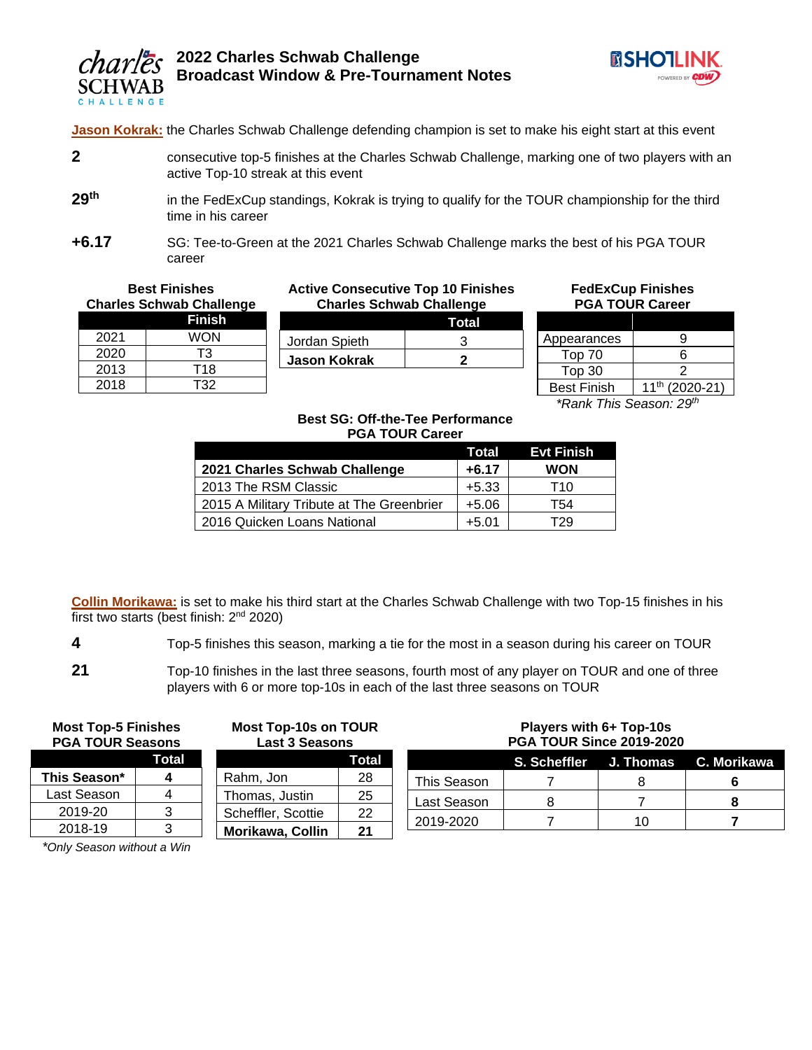



**Jason Kokrak:** the Charles Schwab Challenge defending champion is set to make his eight start at this event

- **2** consecutive top-5 finishes at the Charles Schwab Challenge, marking one of two players with an active Top-10 streak at this event
- 29<sup>th</sup> in the FedExCup standings, Kokrak is trying to qualify for the TOUR championship for the third time in his career
- **+6.17** SG: Tee-to-Green at the 2021 Charles Schwab Challenge marks the best of his PGA TOUR career

| <b>Best Finishes</b><br><b>Charles Schwab Challenge</b> |            | <b>Active Consecutive Top 10 Finishes</b><br><b>Charles Schwab Challenge</b> | <b>FedExCup Finishes</b><br><b>PGA TOUR Career</b> |                    |                           |
|---------------------------------------------------------|------------|------------------------------------------------------------------------------|----------------------------------------------------|--------------------|---------------------------|
|                                                         | Finish     |                                                                              | Total                                              |                    |                           |
| 2021                                                    | <b>WON</b> | Jordan Spieth                                                                |                                                    | Appearances        |                           |
| 2020                                                    | T3         | <b>Jason Kokrak</b>                                                          |                                                    | Top 70             |                           |
| 2013                                                    | T18        |                                                                              |                                                    | Top <sub>30</sub>  |                           |
| 2018                                                    | T32        |                                                                              |                                                    | <b>Best Finish</b> | (202)<br>11 <sup>th</sup> |

| Appearances        |                            |
|--------------------|----------------------------|
| Top 70             | հ                          |
| Top 30             |                            |
| <b>Best Finish</b> | 11 <sup>th</sup> (2020-21) |
|                    |                            |

*\*Rank This Season: 29th*

#### **Best SG: Off-the-Tee Performance PGA TOUR Career**

|                                           | Total   | <b>Evt Finish</b> |
|-------------------------------------------|---------|-------------------|
| 2021 Charles Schwab Challenge             | $+6.17$ | <b>WON</b>        |
| 2013 The RSM Classic                      | $+5.33$ | T10               |
| 2015 A Military Tribute at The Greenbrier | $+5.06$ | T54               |
| 2016 Quicken Loans National               | $+5.01$ | Г29               |

**Collin Morikawa:** is set to make his third start at the Charles Schwab Challenge with two Top-15 finishes in his first two starts (best finish:  $2<sup>nd</sup> 2020$ )

- **4** Top-5 finishes this season, marking a tie for the most in a season during his career on TOUR
- **21** Top-10 finishes in the last three seasons, fourth most of any player on TOUR and one of three players with 6 or more top-10s in each of the last three seasons on TOUR

| <b>Most Top-5 Finishes</b> |
|----------------------------|
| <b>PGA TOUR Seasons</b>    |

|              | Total |
|--------------|-------|
| This Season* | Δ     |
| Last Season  |       |
| 2019-20      | 3     |
| 2018-19      | ৭     |

**Most Top-10s on TOUR Last 3 Seasons**

|                    | Total |
|--------------------|-------|
| Rahm, Jon          | 28    |
| Thomas, Justin     | 25    |
| Scheffler, Scottie | 22    |
| Morikawa, Collin   | 21    |
|                    |       |

#### **Players with 6+ Top-10s PGA TOUR Since 2019-2020**

|             |  | S. Scheffler J. Thomas C. Morikawa |
|-------------|--|------------------------------------|
| This Season |  |                                    |
| Last Season |  |                                    |
| 2019-2020   |  |                                    |

*\*Only Season without a Win*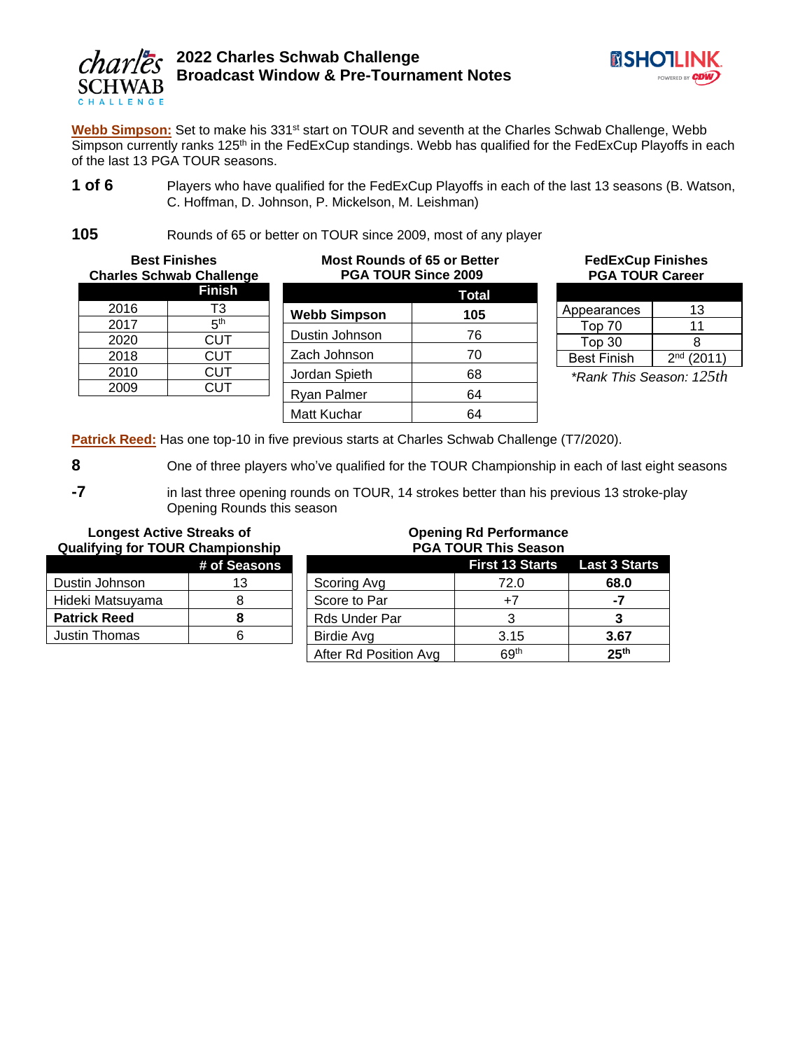



Webb Simpson: Set to make his 331<sup>st</sup> start on TOUR and seventh at the Charles Schwab Challenge, Webb Simpson currently ranks 125<sup>th</sup> in the FedExCup standings. Webb has qualified for the FedExCup Playoffs in each of the last 13 PGA TOUR seasons.

**1 of 6** Players who have qualified for the FedExCup Playoffs in each of the last 13 seasons (B. Watson, C. Hoffman, D. Johnson, P. Mickelson, M. Leishman)

**105** Rounds of 65 or better on TOUR since 2009, most of any player

|      | <b>Best Finishes</b><br><b>Charles Schwab Challenge</b> | <b>Most Rounds of 65 or Better</b><br>PGA TOUR Since 2009 | FedE <sub>&gt;</sub><br><b>PGA</b> |                  |
|------|---------------------------------------------------------|-----------------------------------------------------------|------------------------------------|------------------|
|      | <b>Finish</b>                                           |                                                           | Total                              |                  |
| 2016 | T3                                                      | <b>Webb Simpson</b>                                       | 105                                | Appearan         |
| 2017 | 5 <sup>th</sup>                                         |                                                           |                                    | Top 70           |
| 2020 | <b>CUT</b>                                              | Dustin Johnson                                            | 76                                 | Top 30           |
| 2018 | <b>CUT</b>                                              | Zach Johnson                                              | 70                                 | <b>Best Fini</b> |
| 2010 | <b>CUT</b>                                              | Jordan Spieth                                             | 68                                 | *Rank T          |
| 2009 | <b>CUT</b>                                              | <b>Ryan Palmer</b>                                        | 64                                 |                  |
|      |                                                         | Matt Kuchar                                               | 64                                 |                  |

**FedExCup Finishes TOUR Career** 

| Appearances        | 13           |
|--------------------|--------------|
| Top 70             | 11           |
| Top 30             | я            |
| <b>Best Finish</b> | $2nd$ (2011) |

*\*Rank This Season: 125th*

**Patrick Reed:** Has one top-10 in five previous starts at Charles Schwab Challenge (T7/2020).

8 One of three players who've qualified for the TOUR Championship in each of last eight seasons

**-7** in last three opening rounds on TOUR, 14 strokes better than his previous 13 stroke-play Opening Rounds this season

## **Longest Active Streaks of Qualifying for TOUR Championship**

|                     | # of Seasons |
|---------------------|--------------|
| Dustin Johnson      | 13           |
| Hideki Matsuyama    | 8            |
| <b>Patrick Reed</b> | я            |
| Justin Thomas       |              |

#### **Opening Rd Performance PGA TOUR This Season**

| FUA TUUR TIIIS JEASUIT |                                      |                  |  |  |
|------------------------|--------------------------------------|------------------|--|--|
|                        | <b>First 13 Starts</b> Last 3 Starts |                  |  |  |
| Scoring Avg            | 72.0                                 | 68.0             |  |  |
| Score to Par           | $+7$                                 | -7               |  |  |
| Rds Under Par          |                                      |                  |  |  |
| Birdie Avg             | 3.15                                 | 3.67             |  |  |
| After Rd Position Avg  | 69 <sup>th</sup>                     | 25 <sup>th</sup> |  |  |